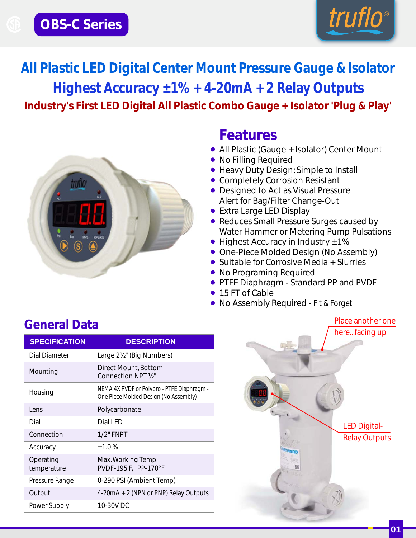

**Industry's First LED Digital All Plastic Combo Gauge + Isolator 'Plug & Play' All Plastic LED Digital Center Mount Pressure Gauge & Isolator Highest Accuracy ±1% + 4-20mA + 2 Relay Outputs**



## **Features**

- **•** All Plastic (Gauge + Isolator) Center Mount
- **•** No Filling Required
- **•** Heavy Duty Design; Simple to Install
- **•** Completely Corrosion Resistant
- **•** Designed to Act as Visual Pressure Alert for Bag/Filter Change-Out
- **•** Extra Large LED Display
- Reduces Small Pressure Surges caused by Water Hammer or Metering Pump Pulsations
- **•** Highest Accuracy in Industry ±1%
- **•** One-Piece Molded Design (No Assembly)
- **•** Suitable for Corrosive Media + Slurries
- **•** No Programing Required
- **•** PTFE Diaphragm Standard PP and PVDF
- **•** 15 FT of Cable
- **•** No Assembly Required Fit & Forget

## **General Data**

| <b>SPECIFICATION</b>     | <b>DESCRIPTION</b>                                                                  |
|--------------------------|-------------------------------------------------------------------------------------|
| <b>Dial Diameter</b>     | Large 2½" (Big Numbers)                                                             |
| Mounting                 | Direct Mount, Bottom<br>Connection NPT 1/ <sub>2</sub> "                            |
| Housing                  | NEMA 4X PVDF or Polypro - PTFE Diaphragm -<br>One Piece Molded Design (No Assembly) |
| I ens                    | Polycarbonate                                                                       |
| Dial                     | Dial LED                                                                            |
| Connection               | $1/2"$ FNPT                                                                         |
| Accuracy                 | ±1.0%                                                                               |
| Operating<br>temperature | Max. Working Temp.<br>PVDF-195 F, PP-170°F                                          |
| Pressure Range           | 0-290 PSI (Ambient Temp)                                                            |
| Output                   | 4-20mA + 2 (NPN or PNP) Relay Outputs                                               |
| Power Supply             | 10-30V DC                                                                           |

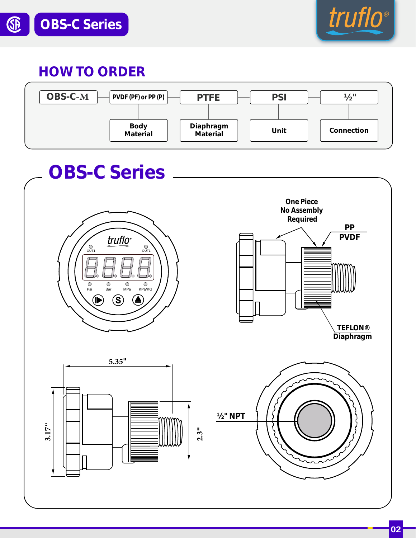

## *HOW TO ORDER*